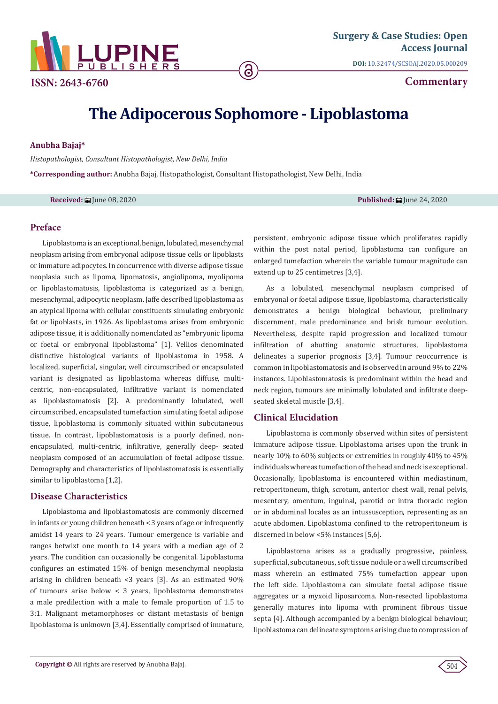

**Commentary**

# **The Adipocerous Sophomore - Lipoblastoma**

**a** 

## **Anubha Bajaj\***

*Histopathologist, Consultant Histopathologist, New Delhi, India*

**\*Corresponding author:** Anubha Bajaj, Histopathologist, Consultant Histopathologist, New Delhi, India

**Received:** June 08, 2020 **Published:** June 24, 2020

## **Preface**

Lipoblastoma is an exceptional, benign, lobulated, mesenchymal neoplasm arising from embryonal adipose tissue cells or lipoblasts or immature adipocytes. In concurrence with diverse adipose tissue neoplasia such as lipoma, lipomatosis, angiolipoma, myolipoma or lipoblastomatosis, lipoblastoma is categorized as a benign, mesenchymal, adipocytic neoplasm. Jaffe described lipoblastoma as an atypical lipoma with cellular constituents simulating embryonic fat or lipoblasts, in 1926. As lipoblastoma arises from embryonic adipose tissue, it is additionally nomenclated as "embryonic lipoma or foetal or embryonal lipoblastoma" [1]. Vellios denominated distinctive histological variants of lipoblastoma in 1958. A localized, superficial, singular, well circumscribed or encapsulated variant is designated as lipoblastoma whereas diffuse, multicentric, non-encapsulated, infiltrative variant is nomenclated as lipoblastomatosis [2]. A predominantly lobulated, well circumscribed, encapsulated tumefaction simulating foetal adipose tissue, lipoblastoma is commonly situated within subcutaneous tissue. In contrast, lipoblastomatosis is a poorly defined, nonencapsulated, multi-centric, infiltrative, generally deep- seated neoplasm composed of an accumulation of foetal adipose tissue. Demography and characteristics of lipoblastomatosis is essentially similar to lipoblastoma [1,2].

## **Disease Characteristics**

Lipoblastoma and lipoblastomatosis are commonly discerned in infants or young children beneath < 3 years of age or infrequently amidst 14 years to 24 years. Tumour emergence is variable and ranges betwixt one month to 14 years with a median age of 2 years. The condition can occasionally be congenital. Lipoblastoma configures an estimated 15% of benign mesenchymal neoplasia arising in children beneath <3 years [3]. As an estimated 90% of tumours arise below < 3 years, lipoblastoma demonstrates a male predilection with a male to female proportion of 1.5 to 3:1. Malignant metamorphoses or distant metastasis of benign lipoblastoma is unknown [3,4]. Essentially comprised of immature,

persistent, embryonic adipose tissue which proliferates rapidly within the post natal period, lipoblastoma can configure an enlarged tumefaction wherein the variable tumour magnitude can extend up to 25 centimetres [3,4].

As a lobulated, mesenchymal neoplasm comprised of embryonal or foetal adipose tissue, lipoblastoma, characteristically demonstrates a benign biological behaviour, preliminary discernment, male predominance and brisk tumour evolution. Nevertheless, despite rapid progression and localized tumour infiltration of abutting anatomic structures, lipoblastoma delineates a superior prognosis [3,4]. Tumour reoccurrence is common in lipoblastomatosis and is observed in around 9% to 22% instances. Lipoblastomatosis is predominant within the head and neck region, tumours are minimally lobulated and infiltrate deepseated skeletal muscle [3,4].

### **Clinical Elucidation**

Lipoblastoma is commonly observed within sites of persistent immature adipose tissue. Lipoblastoma arises upon the trunk in nearly 10% to 60% subjects or extremities in roughly 40% to 45% individuals whereas tumefaction of the head and neck is exceptional. Occasionally, lipoblastoma is encountered within mediastinum, retroperitoneum, thigh, scrotum, anterior chest wall, renal pelvis, mesentery, omentum, inguinal, parotid or intra thoracic region or in abdominal locales as an intussusception, representing as an acute abdomen. Lipoblastoma confined to the retroperitoneum is discerned in below <5% instances [5,6].

Lipoblastoma arises as a gradually progressive, painless, superficial, subcutaneous, soft tissue nodule or a well circumscribed mass wherein an estimated 75% tumefaction appear upon the left side. Lipoblastoma can simulate foetal adipose tissue aggregates or a myxoid liposarcoma. Non-resected lipoblastoma generally matures into lipoma with prominent fibrous tissue septa [4]. Although accompanied by a benign biological behaviour, lipoblastoma can delineate symptoms arising due to compression of

504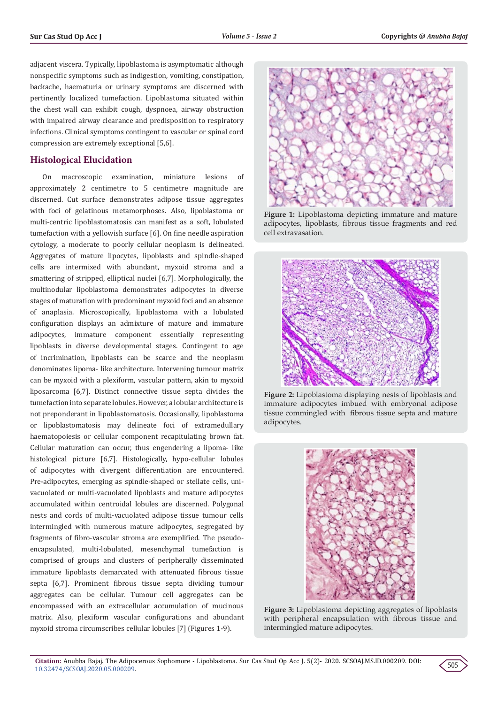adjacent viscera. Typically, lipoblastoma is asymptomatic although nonspecific symptoms such as indigestion, vomiting, constipation, backache, haematuria or urinary symptoms are discerned with pertinently localized tumefaction. Lipoblastoma situated within the chest wall can exhibit cough, dyspnoea, airway obstruction with impaired airway clearance and predisposition to respiratory infections. Clinical symptoms contingent to vascular or spinal cord compression are extremely exceptional [5,6].

# **Histological Elucidation**

On macroscopic examination, miniature lesions of approximately 2 centimetre to 5 centimetre magnitude are discerned. Cut surface demonstrates adipose tissue aggregates with foci of gelatinous metamorphoses. Also, lipoblastoma or multi-centric lipoblastomatosis can manifest as a soft, lobulated tumefaction with a yellowish surface [6]. On fine needle aspiration cytology, a moderate to poorly cellular neoplasm is delineated. Aggregates of mature lipocytes, lipoblasts and spindle-shaped cells are intermixed with abundant, myxoid stroma and a smattering of stripped, elliptical nuclei [6,7]. Morphologically, the multinodular lipoblastoma demonstrates adipocytes in diverse stages of maturation with predominant myxoid foci and an absence of anaplasia. Microscopically, lipoblastoma with a lobulated configuration displays an admixture of mature and immature adipocytes, immature component essentially representing lipoblasts in diverse developmental stages. Contingent to age of incrimination, lipoblasts can be scarce and the neoplasm denominates lipoma- like architecture. Intervening tumour matrix can be myxoid with a plexiform, vascular pattern, akin to myxoid liposarcoma [6,7]. Distinct connective tissue septa divides the tumefaction into separate lobules. However, a lobular architecture is not preponderant in lipoblastomatosis. Occasionally, lipoblastoma or lipoblastomatosis may delineate foci of extramedullary haematopoiesis or cellular component recapitulating brown fat. Cellular maturation can occur, thus engendering a lipoma- like histological picture [6,7]. Histologically, hypo-cellular lobules of adipocytes with divergent differentiation are encountered. Pre-adipocytes, emerging as spindle-shaped or stellate cells, univacuolated or multi-vacuolated lipoblasts and mature adipocytes accumulated within centroidal lobules are discerned. Polygonal nests and cords of multi-vacuolated adipose tissue tumour cells intermingled with numerous mature adipocytes, segregated by fragments of fibro-vascular stroma are exemplified. The pseudoencapsulated, multi-lobulated, mesenchymal tumefaction is comprised of groups and clusters of peripherally disseminated immature lipoblasts demarcated with attenuated fibrous tissue septa [6,7]. Prominent fibrous tissue septa dividing tumour aggregates can be cellular. Tumour cell aggregates can be encompassed with an extracellular accumulation of mucinous matrix. Also, plexiform vascular configurations and abundant myxoid stroma circumscribes cellular lobules [7] (Figures 1-9).



**Figure 1:** Lipoblastoma depicting immature and mature adipocytes, lipoblasts, fibrous tissue fragments and red cell extravasation.



**Figure 2:** Lipoblastoma displaying nests of lipoblasts and immature adipocytes imbued with embryonal adipose tissue commingled with fibrous tissue septa and mature adipocytes.



**Figure 3:** Lipoblastoma depicting aggregates of lipoblasts with peripheral encapsulation with fibrous tissue and intermingled mature adipocytes.

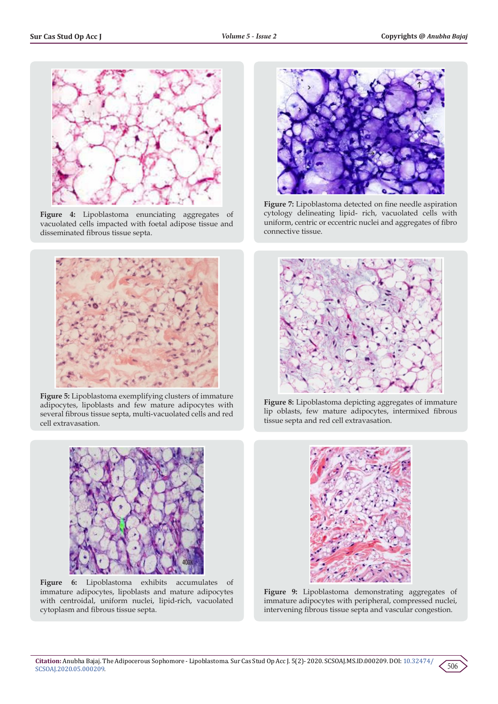

**Figure 4:** Lipoblastoma enunciating aggregates of vacuolated cells impacted with foetal adipose tissue and disseminated fibrous tissue septa.



**Figure 5:** Lipoblastoma exemplifying clusters of immature adipocytes, lipoblasts and few mature adipocytes with several fibrous tissue septa, multi-vacuolated cells and red cell extravasation.



**Figure 6:** Lipoblastoma exhibits accumulates of immature adipocytes, lipoblasts and mature adipocytes with centroidal, uniform nuclei, lipid-rich, vacuolated cytoplasm and fibrous tissue septa.



**Figure 7:** Lipoblastoma detected on fine needle aspiration cytology delineating lipid- rich, vacuolated cells with uniform, centric or eccentric nuclei and aggregates of fibro connective tissue.



**Figure 8:** Lipoblastoma depicting aggregates of immature lip oblasts, few mature adipocytes, intermixed fibrous tissue septa and red cell extravasation.



**Figure 9:** Lipoblastoma demonstrating aggregates of immature adipocytes with peripheral, compressed nuclei, intervening fibrous tissue septa and vascular congestion.

506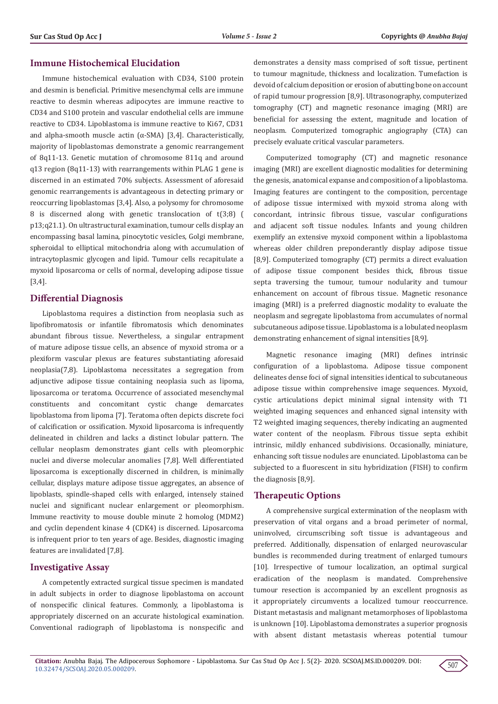# **Immune Histochemical Elucidation**

Immune histochemical evaluation with CD34, S100 protein and desmin is beneficial. Primitive mesenchymal cells are immune reactive to desmin whereas adipocytes are immune reactive to CD34 and S100 protein and vascular endothelial cells are immune reactive to CD34. Lipoblastoma is immune reactive to Ki67, CD31 and alpha-smooth muscle actin ( $\alpha$ -SMA) [3,4]. Characteristically, majority of lipoblastomas demonstrate a genomic rearrangement of 8q11-13. Genetic mutation of chromosome 811q and around q13 region (8q11-13) with rearrangements within PLAG 1 gene is discerned in an estimated 70% subjects. Assessment of aforesaid genomic rearrangements is advantageous in detecting primary or reoccurring lipoblastomas [3,4]. Also, a polysomy for chromosome 8 is discerned along with genetic translocation of t(3;8) ( p13;q21.1). On ultrastructural examination, tumour cells display an encompassing basal lamina, pinocytotic vesicles, Golgi membrane, spheroidal to elliptical mitochondria along with accumulation of intracytoplasmic glycogen and lipid. Tumour cells recapitulate a myxoid liposarcoma or cells of normal, developing adipose tissue [3,4].

# **Differential Diagnosis**

Lipoblastoma requires a distinction from neoplasia such as lipofibromatosis or infantile fibromatosis which denominates abundant fibrous tissue. Nevertheless, a singular entrapment of mature adipose tissue cells, an absence of myxoid stroma or a plexiform vascular plexus are features substantiating aforesaid neoplasia(7,8). Lipoblastoma necessitates a segregation from adjunctive adipose tissue containing neoplasia such as lipoma, liposarcoma or teratoma. Occurrence of associated mesenchymal constituents and concomitant cystic change demarcates lipoblastoma from lipoma [7]. Teratoma often depicts discrete foci of calcification or ossification. Myxoid liposarcoma is infrequently delineated in children and lacks a distinct lobular pattern. The cellular neoplasm demonstrates giant cells with pleomorphic nuclei and diverse molecular anomalies [7,8]. Well differentiated liposarcoma is exceptionally discerned in children, is minimally cellular, displays mature adipose tissue aggregates, an absence of lipoblasts, spindle-shaped cells with enlarged, intensely stained nuclei and significant nuclear enlargement or pleomorphism. Immune reactivity to mouse double minute 2 homolog (MDM2) and cyclin dependent kinase 4 (CDK4) is discerned. Liposarcoma is infrequent prior to ten years of age. Besides, diagnostic imaging features are invalidated [7,8].

## **Investigative Assay**

A competently extracted surgical tissue specimen is mandated in adult subjects in order to diagnose lipoblastoma on account of nonspecific clinical features. Commonly, a lipoblastoma is appropriately discerned on an accurate histological examination. Conventional radiograph of lipoblastoma is nonspecific and demonstrates a density mass comprised of soft tissue, pertinent to tumour magnitude, thickness and localization. Tumefaction is devoid of calcium deposition or erosion of abutting bone on account of rapid tumour progression [8,9]. Ultrasonography, computerized tomography (CT) and magnetic resonance imaging (MRI) are beneficial for assessing the extent, magnitude and location of neoplasm. Computerized tomographic angiography (CTA) can precisely evaluate critical vascular parameters.

Computerized tomography (CT) and magnetic resonance imaging (MRI) are excellent diagnostic modalities for determining the genesis, anatomical expanse and composition of a lipoblastoma. Imaging features are contingent to the composition, percentage of adipose tissue intermixed with myxoid stroma along with concordant, intrinsic fibrous tissue, vascular configurations and adjacent soft tissue nodules. Infants and young children exemplify an extensive myxoid component within a lipoblastoma whereas older children preponderantly display adipose tissue [8,9]. Computerized tomography (CT) permits a direct evaluation of adipose tissue component besides thick, fibrous tissue septa traversing the tumour, tumour nodularity and tumour enhancement on account of fibrous tissue. Magnetic resonance imaging (MRI) is a preferred diagnostic modality to evaluate the neoplasm and segregate lipoblastoma from accumulates of normal subcutaneous adipose tissue. Lipoblastoma is a lobulated neoplasm demonstrating enhancement of signal intensities [8,9].

Magnetic resonance imaging (MRI) defines intrinsic configuration of a lipoblastoma. Adipose tissue component delineates dense foci of signal intensities identical to subcutaneous adipose tissue within comprehensive image sequences. Myxoid, cystic articulations depict minimal signal intensity with T1 weighted imaging sequences and enhanced signal intensity with T2 weighted imaging sequences, thereby indicating an augmented water content of the neoplasm. Fibrous tissue septa exhibit intrinsic, mildly enhanced subdivisions. Occasionally, miniature, enhancing soft tissue nodules are enunciated. Lipoblastoma can be subjected to a fluorescent in situ hybridization (FISH) to confirm the diagnosis [8,9].

### **Therapeutic Options**

A comprehensive surgical extermination of the neoplasm with preservation of vital organs and a broad perimeter of normal, uninvolved, circumscribing soft tissue is advantageous and preferred. Additionally, dispensation of enlarged neurovascular bundles is recommended during treatment of enlarged tumours [10]. Irrespective of tumour localization, an optimal surgical eradication of the neoplasm is mandated. Comprehensive tumour resection is accompanied by an excellent prognosis as it appropriately circumvents a localized tumour reoccurrence. Distant metastasis and malignant metamorphoses of lipoblastoma is unknown [10]. Lipoblastoma demonstrates a superior prognosis with absent distant metastasis whereas potential tumour